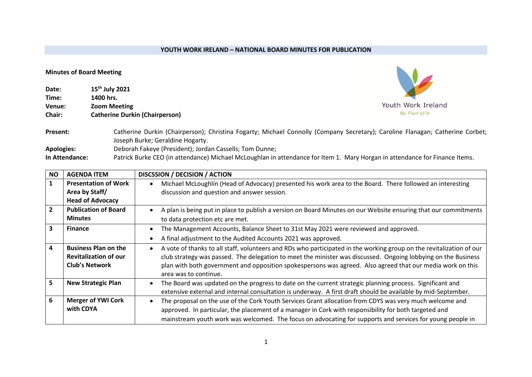## **YOUTH WORK IRELAND – NATIONAL BOARD MINUTES FOR PUBLICATION**

## **Minutes of Board Meeting**

| Date:         | 15 <sup>th</sup> July 2021            |
|---------------|---------------------------------------|
| Time:         | 1400 hrs.                             |
| Venue:        | <b>Zoom Meeting</b>                   |
| <b>Chair:</b> | <b>Catherine Durkin (Chairperson)</b> |
|               |                                       |



Present: Catherine Durkin (Chairperson); Christina Fogarty; Michael Connolly (Company Secretary); Caroline Flanagan; Catherine Corbet; Joseph Burke; Geraldine Hogarty. **Apologies:** Deborah Fakeye (President); Jordan Cassells; Tom Dunne; **In Attendance:** Patrick Burke CEO (in attendance) Michael McLoughlan in attendance for Item 1. Mary Horgan in attendance for Finance Items.

| <b>NO</b>      | <b>AGENDA ITEM</b>                                                                   | DISCSSION / DECISION / ACTION                                                                                                                                                                                                                                                                                                                                                |
|----------------|--------------------------------------------------------------------------------------|------------------------------------------------------------------------------------------------------------------------------------------------------------------------------------------------------------------------------------------------------------------------------------------------------------------------------------------------------------------------------|
|                | <b>Presentation of Work</b><br>Area by Staff/                                        | Michael McLoughlin (Head of Advocacy) presented his work area to the Board. There followed an interesting<br>discussion and question and answer session.                                                                                                                                                                                                                     |
|                | <b>Head of Advocacy</b>                                                              |                                                                                                                                                                                                                                                                                                                                                                              |
| $\overline{2}$ | <b>Publication of Board</b>                                                          | A plan is being put in place to publish a version on Board Minutes on our Website ensuring that our commitments                                                                                                                                                                                                                                                              |
|                | <b>Minutes</b>                                                                       | to data protection etc are met.                                                                                                                                                                                                                                                                                                                                              |
| 3              | <b>Finance</b>                                                                       | The Management Accounts, Balance Sheet to 31st May 2021 were reviewed and approved.                                                                                                                                                                                                                                                                                          |
|                |                                                                                      | A final adjustment to the Audited Accounts 2021 was approved.                                                                                                                                                                                                                                                                                                                |
| 4              | <b>Business Plan on the</b><br><b>Revitalization of our</b><br><b>Club's Network</b> | A vote of thanks to all staff, volunteers and RDs who participated in the working group on the revitalization of our<br>club strategy was passed. The delegation to meet the minister was discussed. Ongoing lobbying on the Business<br>plan with both government and opposition spokespersons was agreed. Also agreed that our media work on this<br>area was to continue. |
| 5              | <b>New Strategic Plan</b>                                                            | The Board was updated on the progress to date on the current strategic planning process. Significant and<br>extensive external and internal consultation is underway. A first draft should be available by mid-September.                                                                                                                                                    |
| 6              | <b>Merger of YWI Cork</b><br>with CDYA                                               | The proposal on the use of the Cork Youth Services Grant allocation from CDYS was very much welcome and<br>approved. In particular, the placement of a manager in Cork with responsibility for both targeted and<br>mainstream youth work was welcomed. The focus on advocating for supports and services for young people in                                                |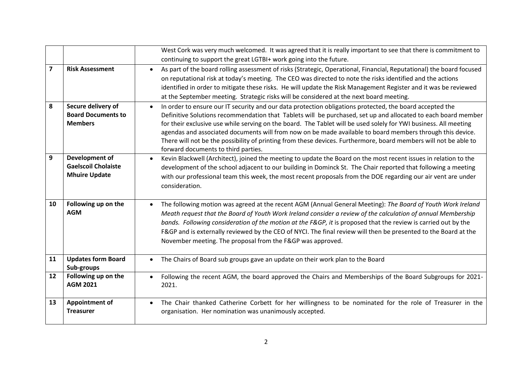|                         |                                                                             | West Cork was very much welcomed. It was agreed that it is really important to see that there is commitment to                                                                                                                                                                                                                                                                                                                                                                                                                                                                                                        |
|-------------------------|-----------------------------------------------------------------------------|-----------------------------------------------------------------------------------------------------------------------------------------------------------------------------------------------------------------------------------------------------------------------------------------------------------------------------------------------------------------------------------------------------------------------------------------------------------------------------------------------------------------------------------------------------------------------------------------------------------------------|
|                         |                                                                             | continuing to support the great LGTBI+ work going into the future.                                                                                                                                                                                                                                                                                                                                                                                                                                                                                                                                                    |
| $\overline{\mathbf{z}}$ | <b>Risk Assessment</b>                                                      | As part of the board rolling assessment of risks (Strategic, Operational, Financial, Reputational) the board focused<br>$\bullet$<br>on reputational risk at today's meeting. The CEO was directed to note the risks identified and the actions<br>identified in order to mitigate these risks. He will update the Risk Management Register and it was be reviewed<br>at the September meeting. Strategic risks will be considered at the next board meeting.                                                                                                                                                         |
| 8                       | Secure delivery of<br><b>Board Documents to</b><br><b>Members</b>           | In order to ensure our IT security and our data protection obligations protected, the board accepted the<br>Definitive Solutions recommendation that Tablets will be purchased, set up and allocated to each board member<br>for their exclusive use while serving on the board. The Tablet will be used solely for YWI business. All meeting<br>agendas and associated documents will from now on be made available to board members through this device.<br>There will not be the possibility of printing from these devices. Furthermore, board members will not be able to<br>forward documents to third parties. |
| 9                       | <b>Development of</b><br><b>Gaelscoil Cholaiste</b><br><b>Mhuire Update</b> | Kevin Blackwell (Architect), joined the meeting to update the Board on the most recent issues in relation to the<br>$\bullet$<br>development of the school adjacent to our building in Dominck St. The Chair reported that following a meeting<br>with our professional team this week, the most recent proposals from the DOE regarding our air vent are under<br>consideration.                                                                                                                                                                                                                                     |
| 10                      | Following up on the<br><b>AGM</b>                                           | The following motion was agreed at the recent AGM (Annual General Meeting): The Board of Youth Work Ireland<br>$\bullet$<br>Meath request that the Board of Youth Work Ireland consider a review of the calculation of annual Membership<br>bands. Following consideration of the motion at the F&GP, it is proposed that the review is carried out by the<br>F&GP and is externally reviewed by the CEO of NYCI. The final review will then be presented to the Board at the<br>November meeting. The proposal from the F&GP was approved.                                                                           |
| 11                      | <b>Updates form Board</b><br>Sub-groups                                     | The Chairs of Board sub groups gave an update on their work plan to the Board                                                                                                                                                                                                                                                                                                                                                                                                                                                                                                                                         |
| 12                      | Following up on the<br><b>AGM 2021</b>                                      | Following the recent AGM, the board approved the Chairs and Memberships of the Board Subgroups for 2021-<br>2021.                                                                                                                                                                                                                                                                                                                                                                                                                                                                                                     |
| 13                      | <b>Appointment of</b><br><b>Treasurer</b>                                   | The Chair thanked Catherine Corbett for her willingness to be nominated for the role of Treasurer in the<br>organisation. Her nomination was unanimously accepted.                                                                                                                                                                                                                                                                                                                                                                                                                                                    |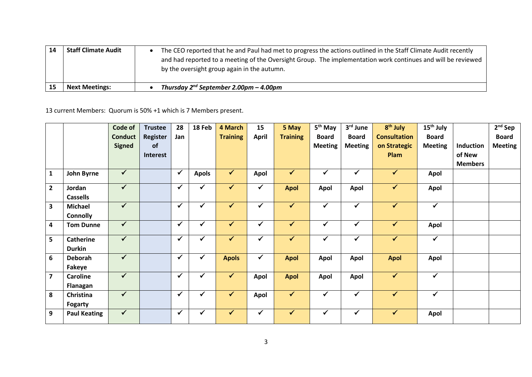| <b>Staff Climate Audit</b> | The CEO reported that he and Paul had met to progress the actions outlined in the Staff Climate Audit recently<br>and had reported to a meeting of the Oversight Group. The implementation work continues and will be reviewed<br>by the oversight group again in the autumn. |
|----------------------------|-------------------------------------------------------------------------------------------------------------------------------------------------------------------------------------------------------------------------------------------------------------------------------|
| <b>Next Meetings:</b>      | Thursday $2^{nd}$ September 2.00pm – 4.00pm                                                                                                                                                                                                                                   |

13 current Members: Quorum is 50% +1 which is 7 Members present.

|                         |                     | Code of                 | <b>Trustee</b>  | 28           | 18 Feb       | 4 March         | 15                      | 5 May           | 5 <sup>th</sup> May | 3rd June       | 8 <sup>th</sup> July | 15 <sup>th</sup> July   |                  | $2nd$ Sep      |
|-------------------------|---------------------|-------------------------|-----------------|--------------|--------------|-----------------|-------------------------|-----------------|---------------------|----------------|----------------------|-------------------------|------------------|----------------|
|                         |                     | <b>Conduct</b>          | <b>Register</b> | Jan          |              | <b>Training</b> | <b>April</b>            | <b>Training</b> | <b>Board</b>        | <b>Board</b>   | <b>Consultation</b>  | <b>Board</b>            |                  | <b>Board</b>   |
|                         |                     | <b>Signed</b>           | of              |              |              |                 |                         |                 | <b>Meeting</b>      | <b>Meeting</b> | on Strategic         | <b>Meeting</b>          | <b>Induction</b> | <b>Meeting</b> |
|                         |                     |                         | Interest        |              |              |                 |                         |                 |                     |                | <b>Plam</b>          |                         | of New           |                |
|                         |                     |                         |                 |              |              |                 |                         |                 |                     |                |                      |                         | <b>Members</b>   |                |
| $\mathbf{1}$            | John Byrne          | $\checkmark$            |                 | $\checkmark$ | <b>Apols</b> | $\checkmark$    | Apol                    | $\checkmark$    | $\checkmark$        | $\checkmark$   | $\checkmark$         | Apol                    |                  |                |
| $\overline{2}$          | Jordan              | $\overline{\checkmark}$ |                 | $\checkmark$ | ✓            | $\checkmark$    | ✓                       | <b>Apol</b>     | Apol                | Apol           | $\checkmark$         | Apol                    |                  |                |
|                         | <b>Cassells</b>     |                         |                 |              |              |                 |                         |                 |                     |                |                      |                         |                  |                |
| $\overline{\mathbf{3}}$ | <b>Michael</b>      | $\checkmark$            |                 | ✔            |              | $\checkmark$    | $\checkmark$            | $\checkmark$    | $\checkmark$        | ✓              | ✓                    | $\overline{\checkmark}$ |                  |                |
|                         | <b>Connolly</b>     |                         |                 |              |              |                 |                         |                 |                     |                |                      |                         |                  |                |
| 4                       | <b>Tom Dunne</b>    | $\checkmark$            |                 | $\checkmark$ |              | $\checkmark$    | ✔                       | $\checkmark$    | $\checkmark$        | $\checkmark$   | $\checkmark$         | Apol                    |                  |                |
| 5                       | <b>Catherine</b>    | $\overline{\checkmark}$ |                 | $\checkmark$ |              | $\checkmark$    | ✓                       | $\sqrt{}$       | $\checkmark$        | ✓              | $\checkmark$         | $\overline{\checkmark}$ |                  |                |
|                         | <b>Durkin</b>       |                         |                 |              |              |                 |                         |                 |                     |                |                      |                         |                  |                |
| 6                       | <b>Deborah</b>      | $\blacklozenge$         |                 | $\checkmark$ | $\checkmark$ | <b>Apols</b>    | $\overline{\mathbf{v}}$ | <b>Apol</b>     | <b>Apol</b>         | Apol           | <b>Apol</b>          | Apol                    |                  |                |
|                         | Fakeye              |                         |                 |              |              |                 |                         |                 |                     |                |                      |                         |                  |                |
| $\overline{7}$          | <b>Caroline</b>     | $\sqrt{}$               |                 | $\checkmark$ |              | $\checkmark$    | Apol                    | <b>Apol</b>     | Apol                | Apol           | $\checkmark$         | $\checkmark$            |                  |                |
|                         | Flanagan            |                         |                 |              |              |                 |                         |                 |                     |                |                      |                         |                  |                |
| 8                       | Christina           | $\checkmark$            |                 | $\checkmark$ | $\checkmark$ | $\checkmark$    | Apol                    | $\checkmark$    | $\checkmark$        | $\checkmark$   | $\checkmark$         | $\checkmark$            |                  |                |
|                         | <b>Fogarty</b>      |                         |                 |              |              |                 |                         |                 |                     |                |                      |                         |                  |                |
| 9                       | <b>Paul Keating</b> | $\checkmark$            |                 | ✓            |              | $\checkmark$    | ✔                       | $\checkmark$    | $\checkmark$        | ✓              | $\checkmark$         | Apol                    |                  |                |